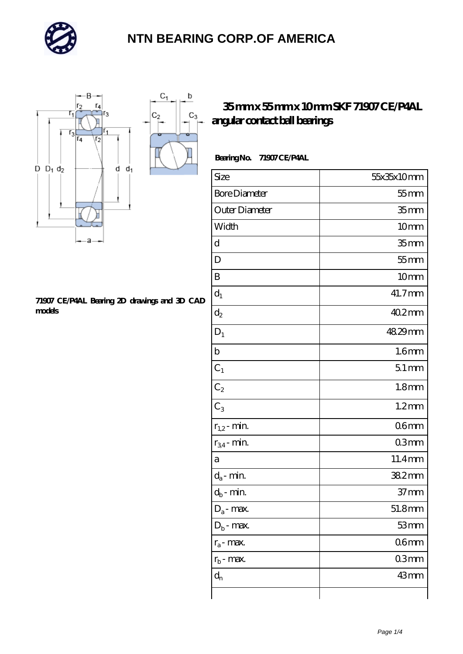

 $\mathbf b$ 

 $C_3$ 



#### **[71907 CE/P4AL Bearing 2D drawings and 3D CAD](https://m.autopartscompanies.com/pic-199181.html) [models](https://m.autopartscompanies.com/pic-199181.html)**

### **[35 mm x 55 mm x 10 mm SKF 71907 CE/P4AL](https://m.autopartscompanies.com/ar-199181-skf-71907-ce-p4al-angular-contact-ball-bearings.html) [angular contact ball bearings](https://m.autopartscompanies.com/ar-199181-skf-71907-ce-p4al-angular-contact-ball-bearings.html)**

### **Bearing No. 71907 CE/P4AL**

| Size                       | 55x35x10mm        |
|----------------------------|-------------------|
| <b>Bore Diameter</b>       | $55$ mm           |
| Outer Diameter             | 35 <sub>mm</sub>  |
| Width                      | 10mm              |
| d                          | 35 <sub>mm</sub>  |
| D                          | $55$ mm           |
| B                          | 10mm              |
| $d_1$                      | 41.7mm            |
| $d_2$                      | 40.2mm            |
| $D_1$                      | 48.29mm           |
| $\mathbf b$                | 1.6 <sub>mm</sub> |
| $C_1$                      | $51$ mm           |
| $C_2$                      | 1.8 <sub>mm</sub> |
| $C_3$                      | $1.2$ mm          |
| $r_{1,2}$ - min.           | 06 <sub>mm</sub>  |
| $r_{34}$ - min.            | 03mm              |
| а                          | 11.4mm            |
| $d_a$ - min.               | 38.2mm            |
| $d_b\operatorname{-} \min$ | $37 \text{mm}$    |
| $D_a$ - max.               | 51.8mm            |
| $D_b$ - max.               | 53mm              |
| $r_a$ - max.               | 06 <sub>mm</sub>  |
| $r_{b}$ - max.             | 03mm              |
| $d_n$                      | 43mm              |
|                            |                   |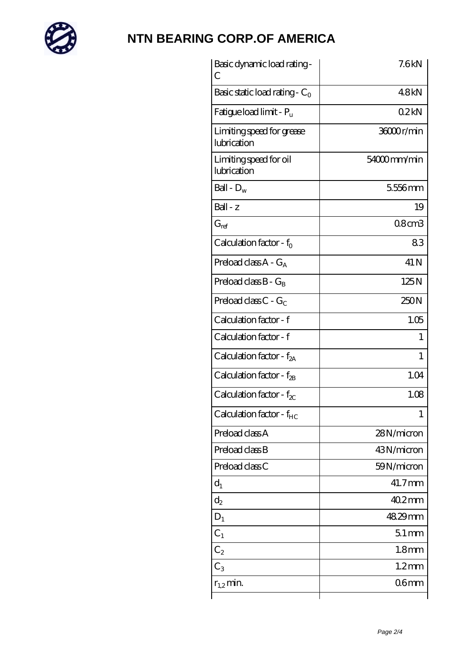

| Basic dynamic load rating-<br>С          | 7.6kN             |
|------------------------------------------|-------------------|
| Basic static load rating - $C_0$         | 48kN              |
| Fatigue load limit - P <sub>u</sub>      | 02kN              |
| Limiting speed for grease<br>lubrication | 36000r/min        |
| Limiting speed for oil<br>lubrication    | 54000mm/min       |
| Ball - $D_w$                             | 5556mm            |
| $Ball - z$                               | 19                |
| $G_{ref}$                                | $08$ cm $3$       |
| Calculation factor - $f_0$               | 83                |
| Preload class $A - G_A$                  | 41 N              |
| Preload class $B - G_B$                  | 125N              |
| Preload class $C - G_C$                  | 250N              |
| Calculation factor - f                   | 1.05              |
| Calculation factor - f                   | 1                 |
| Calculation factor - $f_{2A}$            | 1                 |
| Calculation factor - $f_{2B}$            | 1.04              |
| Calculation factor - $f_{\text{X}}$      | 1.08              |
| Calculation factor - $f_{HC}$            | 1                 |
| Preload class A                          | 28N/micron        |
| Preload class B                          | 43N/micron        |
| Preload class C                          | 59N/micron        |
| $d_1$                                    | 41.7mm            |
| $d_2$                                    | $402$ mm          |
| $D_1$                                    | 48.29mm           |
| $C_{1}$                                  | $51$ mm           |
| $\text{\sf C}_2$                         | 1.8 <sub>mm</sub> |
| $C_3$                                    | $1.2$ mm          |
| $r_{1,2}$ min.                           | 06 <sub>mm</sub>  |
|                                          |                   |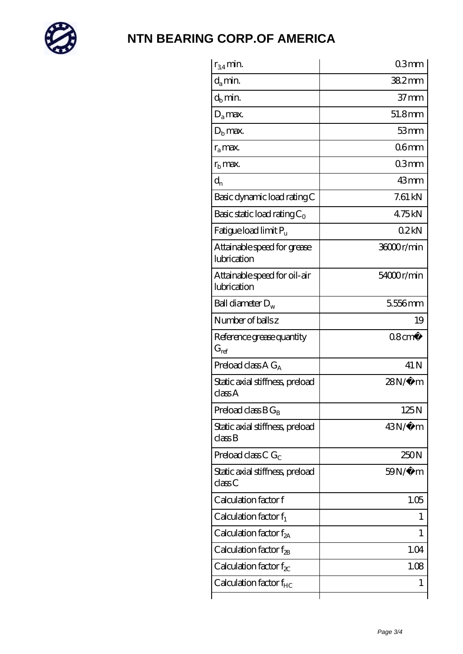

| $r_{34}$ min.                               | 03mm              |
|---------------------------------------------|-------------------|
| $d_{a}$ min.                                | $382$ mm          |
| $d_b$ min.                                  | $37 \text{mm}$    |
| $D_a$ max.                                  | 51.8mm            |
| $Db$ max.                                   | 53mm              |
| $r_a$ max.                                  | 06 <sub>mm</sub>  |
| $r_{\rm b}$ max.                            | 03mm              |
| $d_{n}$                                     | 43mm              |
| Basic dynamic load rating C                 | $7.61 \text{ kN}$ |
| Basic static load rating $C_0$              | 475kN             |
| Fatigue load limit Pu                       | 02kN              |
| Attainable speed for grease<br>lubrication  | 36000r/min        |
| Attainable speed for oil-air<br>lubrication | 54000r/min        |
| Ball diameter $D_w$                         | 5556mm            |
| Number of balls z                           | 19                |
| Reference grease quantity<br>$G_{ref}$      | $08 \text{cm}^3$  |
| Preload class A $G_A$                       | 41 N              |
| Static axial stiffness, preload<br>classA   | $28N/\mu$ m       |
| Preload class $BG_B$                        | 125N              |
| Static axial stiffness, preload<br>classB   | 43N/μ m           |
| Preload class C $G_C$                       | 250N              |
| Static axial stiffness, preload<br>classC   | 59N/μ m           |
| Calculation factor f                        | 1.05              |
| Calculation factor $f_1$                    | 1                 |
| Calculation factor $f_{2A}$                 | 1                 |
| Calculation factor $f_{\rm 2B}$             | 1.04              |
|                                             |                   |
| Calculation factor $f_{\chi}$               | 1.08              |
| Calculation factor $f_{HC}$                 | 1                 |